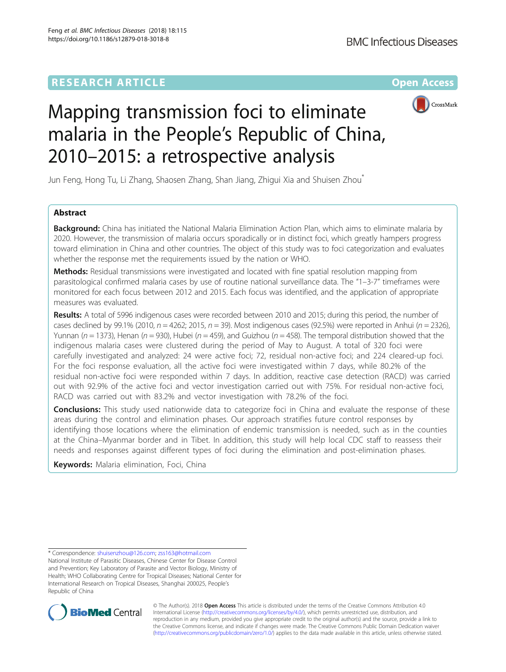## **RESEARCH ARTICLE Example 2014 12:30 The Contract of Contract ACCESS**



# Mapping transmission foci to eliminate malaria in the People's Republic of China, 2010–2015: a retrospective analysis

Jun Feng, Hong Tu, Li Zhang, Shaosen Zhang, Shan Jiang, Zhigui Xia and Shuisen Zhou\*

## Abstract

**Background:** China has initiated the National Malaria Elimination Action Plan, which aims to eliminate malaria by 2020. However, the transmission of malaria occurs sporadically or in distinct foci, which greatly hampers progress toward elimination in China and other countries. The object of this study was to foci categorization and evaluates whether the response met the requirements issued by the nation or WHO.

Methods: Residual transmissions were investigated and located with fine spatial resolution mapping from parasitological confirmed malaria cases by use of routine national surveillance data. The "1–3-7" timeframes were monitored for each focus between 2012 and 2015. Each focus was identified, and the application of appropriate measures was evaluated.

Results: A total of 5996 indigenous cases were recorded between 2010 and 2015; during this period, the number of cases declined by 99.1% (2010,  $n = 4262$ ; 2015,  $n = 39$ ). Most indigenous cases (92.5%) were reported in Anhui ( $n = 2326$ ), Yunnan ( $n = 1373$ ), Henan ( $n = 930$ ), Hubei ( $n = 459$ ), and Guizhou ( $n = 458$ ). The temporal distribution showed that the indigenous malaria cases were clustered during the period of May to August. A total of 320 foci were carefully investigated and analyzed: 24 were active foci; 72, residual non-active foci; and 224 cleared-up foci. For the foci response evaluation, all the active foci were investigated within 7 days, while 80.2% of the residual non-active foci were responded within 7 days. In addition, reactive case detection (RACD) was carried out with 92.9% of the active foci and vector investigation carried out with 75%. For residual non-active foci, RACD was carried out with 83.2% and vector investigation with 78.2% of the foci.

**Conclusions:** This study used nationwide data to categorize foci in China and evaluate the response of these areas during the control and elimination phases. Our approach stratifies future control responses by identifying those locations where the elimination of endemic transmission is needed, such as in the counties at the China–Myanmar border and in Tibet. In addition, this study will help local CDC staff to reassess their needs and responses against different types of foci during the elimination and post-elimination phases.

Keywords: Malaria elimination, Foci, China

\* Correspondence: [shuisenzhou@126.com;](mailto:shuisenzhou@126.com) [zss163@hotmail.com](mailto:zss163@hotmail.com) National Institute of Parasitic Diseases, Chinese Center for Disease Control and Prevention; Key Laboratory of Parasite and Vector Biology, Ministry of Health; WHO Collaborating Centre for Tropical Diseases; National Center for International Research on Tropical Diseases, Shanghai 200025, People's Republic of China



© The Author(s). 2018 Open Access This article is distributed under the terms of the Creative Commons Attribution 4.0 International License [\(http://creativecommons.org/licenses/by/4.0/](http://creativecommons.org/licenses/by/4.0/)), which permits unrestricted use, distribution, and reproduction in any medium, provided you give appropriate credit to the original author(s) and the source, provide a link to the Creative Commons license, and indicate if changes were made. The Creative Commons Public Domain Dedication waiver [\(http://creativecommons.org/publicdomain/zero/1.0/](http://creativecommons.org/publicdomain/zero/1.0/)) applies to the data made available in this article, unless otherwise stated.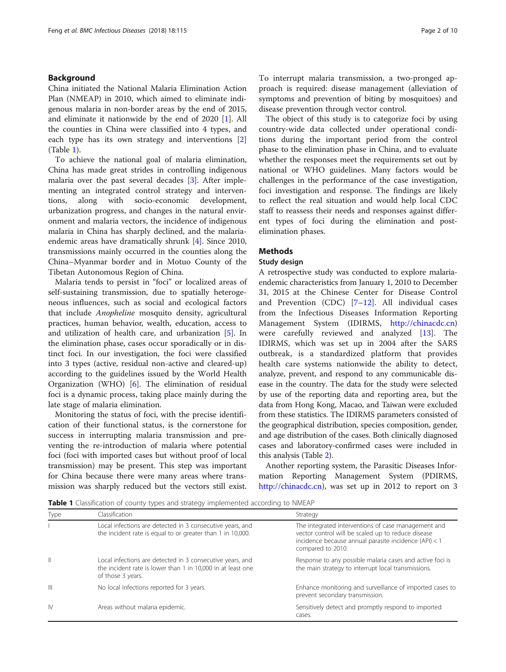## Background

China initiated the National Malaria Elimination Action Plan (NMEAP) in 2010, which aimed to eliminate indigenous malaria in non-border areas by the end of 2015, and eliminate it nationwide by the end of 2020 [\[1](#page-8-0)]. All the counties in China were classified into 4 types, and each type has its own strategy and interventions [\[2](#page-8-0)] (Table 1).

To achieve the national goal of malaria elimination, China has made great strides in controlling indigenous malaria over the past several decades [[3\]](#page-8-0). After implementing an integrated control strategy and interventions, along with socio-economic development, urbanization progress, and changes in the natural environment and malaria vectors, the incidence of indigenous malaria in China has sharply declined, and the malariaendemic areas have dramatically shrunk [[4\]](#page-8-0). Since 2010, transmissions mainly occurred in the counties along the China–Myanmar border and in Motuo County of the Tibetan Autonomous Region of China.

Malaria tends to persist in "foci" or localized areas of self-sustaining transmission, due to spatially heterogeneous influences, such as social and ecological factors that include Anopheline mosquito density, agricultural practices, human behavior, wealth, education, access to and utilization of health care, and urbanization [\[5\]](#page-8-0). In the elimination phase, cases occur sporadically or in distinct foci. In our investigation, the foci were classified into 3 types (active, residual non-active and cleared-up) according to the guidelines issued by the World Health Organization (WHO) [[6\]](#page-8-0). The elimination of residual foci is a dynamic process, taking place mainly during the late stage of malaria elimination.

Monitoring the status of foci, with the precise identification of their functional status, is the cornerstone for success in interrupting malaria transmission and preventing the re-introduction of malaria where potential foci (foci with imported cases but without proof of local transmission) may be present. This step was important for China because there were many areas where transmission was sharply reduced but the vectors still exist. To interrupt malaria transmission, a two-pronged approach is required: disease management (alleviation of symptoms and prevention of biting by mosquitoes) and disease prevention through vector control.

The object of this study is to categorize foci by using country-wide data collected under operational conditions during the important period from the control phase to the elimination phase in China, and to evaluate whether the responses meet the requirements set out by national or WHO guidelines. Many factors would be challenges in the performance of the case investigation, foci investigation and response. The findings are likely to reflect the real situation and would help local CDC staff to reassess their needs and responses against different types of foci during the elimination and postelimination phases.

## **Methods**

## Study design

A retrospective study was conducted to explore malariaendemic characteristics from January 1, 2010 to December 31, 2015 at the Chinese Center for Disease Control and Prevention (CDC)  $[7-12]$  $[7-12]$  $[7-12]$  $[7-12]$ . All individual cases from the Infectious Diseases Information Reporting Management System (IDIRMS, <http://chinacdc.cn>) were carefully reviewed and analyzed [\[13](#page-8-0)]. The IDIRMS, which was set up in 2004 after the SARS outbreak, is a standardized platform that provides health care systems nationwide the ability to detect, analyze, prevent, and respond to any communicable disease in the country. The data for the study were selected by use of the reporting data and reporting area, but the data from Hong Kong, Macao, and Taiwan were excluded from these statistics. The IDIRMS parameters consisted of the geographical distribution, species composition, gender, and age distribution of the cases. Both clinically diagnosed cases and laboratory-confirmed cases were included in this analysis (Table [2](#page-2-0)).

Another reporting system, the Parasitic Diseases Information Reporting Management System (PDIRMS, [http://chinacdc.cn\)](http://chinacdc.cn), was set up in 2012 to report on 3

**Table 1** Classification of county types and strategy implemented according to NMEAP

| Type          | Classification                                                                                                                                | Strategy                                                                                                                                                                                |
|---------------|-----------------------------------------------------------------------------------------------------------------------------------------------|-----------------------------------------------------------------------------------------------------------------------------------------------------------------------------------------|
|               | Local infections are detected in 3 consecutive years, and<br>the incident rate is equal to or greater than 1 in 10,000.                       | The integrated interventions of case management and<br>vector control will be scaled up to reduce disease<br>incidence because annual parasite incidence (API) < 1<br>compared to 2010. |
| $\mathbb{I}$  | Local infections are detected in 3 consecutive years, and<br>the incident rate is lower than 1 in 10,000 in at least one<br>of those 3 years. | Response to any possible malaria cases and active foci is<br>the main strategy to interrupt local transmissions.                                                                        |
| $\mathbb{H}$  | No local infections reported for 3 years.                                                                                                     | Enhance monitoring and surveillance of imported cases to<br>prevent secondary transmission.                                                                                             |
| $\mathsf{IV}$ | Areas without malaria epidemic.                                                                                                               | Sensitively detect and promptly respond to imported<br>cases.                                                                                                                           |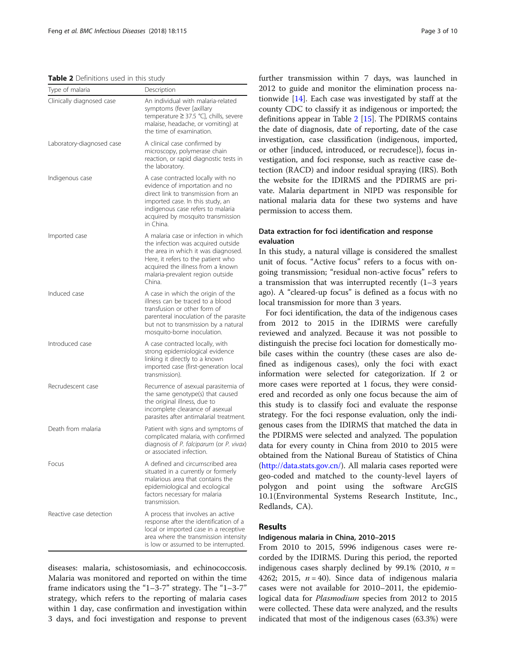<span id="page-2-0"></span>Table 2 Definitions used in this study

| Type of malaria           | Description                                                                                                                                                                                                                                |
|---------------------------|--------------------------------------------------------------------------------------------------------------------------------------------------------------------------------------------------------------------------------------------|
| Clinically diagnosed case | An individual with malaria-related<br>symptoms (fever [axillary<br>temperature ≥ 37.5 °C], chills, severe<br>malaise, headache, or vomiting) at<br>the time of examination.                                                                |
| Laboratory-diagnosed case | A clinical case confirmed by<br>microscopy, polymerase chain<br>reaction, or rapid diagnostic tests in<br>the laboratory.                                                                                                                  |
| Indigenous case           | A case contracted locally with no<br>evidence of importation and no<br>direct link to transmission from an<br>imported case. In this study, an<br>indigenous case refers to malaria<br>acquired by mosquito transmission<br>in China.      |
| Imported case             | A malaria case or infection in which<br>the infection was acquired outside<br>the area in which it was diagnosed.<br>Here, it refers to the patient who<br>acquired the illness from a known<br>malaria-prevalent region outside<br>China. |
| Induced case              | A case in which the origin of the<br>illness can be traced to a blood<br>transfusion or other form of<br>parenteral inoculation of the parasite<br>but not to transmission by a natural<br>mosquito-borne inoculation.                     |
| Introduced case           | A case contracted locally, with<br>strong epidemiological evidence<br>linking it directly to a known<br>imported case (first-generation local<br>transmission).                                                                            |
| Recrudescent case         | Recurrence of asexual parasitemia of<br>the same genotype(s) that caused<br>the original illness, due to<br>incomplete clearance of asexual<br>parasites after antimalarial treatment.                                                     |
| Death from malaria        | Patient with signs and symptoms of<br>complicated malaria, with confirmed<br>diagnosis of P. falciparum (or P. vivax)<br>or associated infection.                                                                                          |
| Focus                     | A defined and circumscribed area<br>situated in a currently or formerly<br>malarious area that contains the<br>epidemiological and ecological<br>factors necessary for malaria<br>transmission.                                            |
| Reactive case detection   | A process that involves an active<br>response after the identification of a<br>local or imported case in a receptive<br>area where the transmission intensity<br>is low or assumed to be interrupted.                                      |

diseases: malaria, schistosomiasis, and echinococcosis. Malaria was monitored and reported on within the time frame indicators using the "1–3-7" strategy. The "1–3-7" strategy, which refers to the reporting of malaria cases within 1 day, case confirmation and investigation within 3 days, and foci investigation and response to prevent further transmission within 7 days, was launched in 2012 to guide and monitor the elimination process nationwide [[14\]](#page-8-0). Each case was investigated by staff at the county CDC to classify it as indigenous or imported; the definitions appear in Table 2 [[15\]](#page-9-0). The PDIRMS contains the date of diagnosis, date of reporting, date of the case investigation, case classification (indigenous, imported, or other [induced, introduced, or recrudesce]), focus investigation, and foci response, such as reactive case detection (RACD) and indoor residual spraying (IRS). Both the website for the IDIRMS and the PDIRMS are private. Malaria department in NIPD was responsible for national malaria data for these two systems and have permission to access them.

## Data extraction for foci identification and response evaluation

In this study, a natural village is considered the smallest unit of focus. "Active focus" refers to a focus with ongoing transmission; "residual non-active focus" refers to a transmission that was interrupted recently (1–3 years ago). A "cleared-up focus" is defined as a focus with no local transmission for more than 3 years.

For foci identification, the data of the indigenous cases from 2012 to 2015 in the IDIRMS were carefully reviewed and analyzed. Because it was not possible to distinguish the precise foci location for domestically mobile cases within the country (these cases are also defined as indigenous cases), only the foci with exact information were selected for categorization. If 2 or more cases were reported at 1 focus, they were considered and recorded as only one focus because the aim of this study is to classify foci and evaluate the response strategy. For the foci response evaluation, only the indigenous cases from the IDIRMS that matched the data in the PDIRMS were selected and analyzed. The population data for every county in China from 2010 to 2015 were obtained from the National Bureau of Statistics of China (<http://data.stats.gov.cn/>). All malaria cases reported were geo-coded and matched to the county-level layers of polygon and point using the software ArcGIS 10.1(Environmental Systems Research Institute, Inc., Redlands, CA).

## Results

## Indigenous malaria in China, 2010–2015

From 2010 to 2015, 5996 indigenous cases were recorded by the IDIRMS. During this period, the reported indigenous cases sharply declined by 99.1% (2010,  $n =$ 4262; 2015,  $n = 40$ ). Since data of indigenous malaria cases were not available for 2010–2011, the epidemiological data for Plasmodium species from 2012 to 2015 were collected. These data were analyzed, and the results indicated that most of the indigenous cases (63.3%) were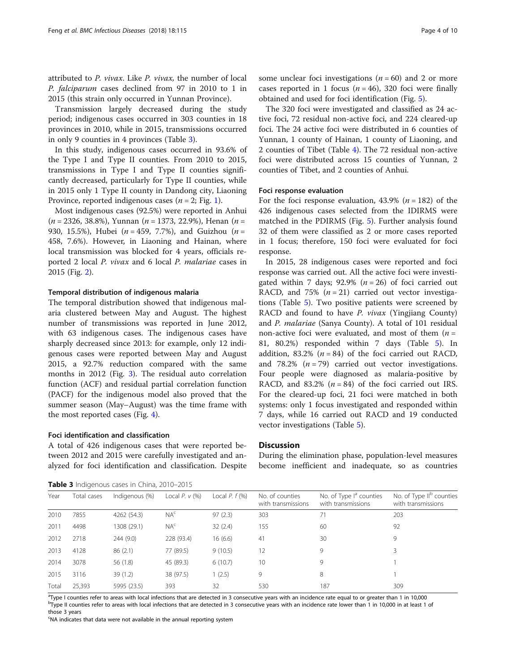attributed to P. vivax. Like P. vivax, the number of local P. falciparum cases declined from 97 in 2010 to 1 in 2015 (this strain only occurred in Yunnan Province).

Transmission largely decreased during the study period; indigenous cases occurred in 303 counties in 18 provinces in 2010, while in 2015, transmissions occurred in only 9 counties in 4 provinces (Table 3).

In this study, indigenous cases occurred in 93.6% of the Type I and Type II counties. From 2010 to 2015, transmissions in Type I and Type II counties significantly decreased, particularly for Type II counties, while in 2015 only 1 Type II county in Dandong city, Liaoning Province, reported indigenous cases ( $n = 2$ ; Fig. [1\)](#page-4-0).

Most indigenous cases (92.5%) were reported in Anhui  $(n = 2326, 38.8\%)$ , Yunnan  $(n = 1373, 22.9\%)$ , Henan  $(n = 1373, 22.9\%)$ 930, 15.5%), Hubei ( $n = 459$ , 7.7%), and Guizhou ( $n =$ 458, 7.6%). However, in Liaoning and Hainan, where local transmission was blocked for 4 years, officials reported 2 local P. vivax and 6 local P. malariae cases in 2015 (Fig. [2\)](#page-4-0).

## Temporal distribution of indigenous malaria

The temporal distribution showed that indigenous malaria clustered between May and August. The highest number of transmissions was reported in June 2012, with 63 indigenous cases. The indigenous cases have sharply decreased since 2013: for example, only 12 indigenous cases were reported between May and August 2015, a 92.7% reduction compared with the same months in 2012 (Fig. [3](#page-5-0)). The residual auto correlation function (ACF) and residual partial correlation function (PACF) for the indigenous model also proved that the summer season (May–August) was the time frame with the most reported cases (Fig. [4\)](#page-5-0).

## Foci identification and classification

A total of 426 indigenous cases that were reported between 2012 and 2015 were carefully investigated and analyzed for foci identification and classification. Despite

Table 3 Indigenous cases in China, 2010-2015

some unclear foci investigations ( $n = 60$ ) and 2 or more

obtained and used for foci identification (Fig. [5](#page-6-0)). The 320 foci were investigated and classified as 24 active foci, 72 residual non-active foci, and 224 cleared-up foci. The 24 active foci were distributed in 6 counties of Yunnan, 1 county of Hainan, 1 county of Liaoning, and 2 counties of Tibet (Table [4\)](#page-6-0). The 72 residual non-active foci were distributed across 15 counties of Yunnan, 2 counties of Tibet, and 2 counties of Anhui.

cases reported in 1 focus ( $n = 46$ ), 320 foci were finally

## Foci response evaluation

For the foci response evaluation,  $43.9\%$  ( $n = 182$ ) of the 426 indigenous cases selected from the IDIRMS were matched in the PDIRMS (Fig. [5\)](#page-6-0). Further analysis found 32 of them were classified as 2 or more cases reported in 1 focus; therefore, 150 foci were evaluated for foci response.

In 2015, 28 indigenous cases were reported and foci response was carried out. All the active foci were investigated within 7 days; 92.9% ( $n = 26$ ) of foci carried out RACD, and 75%  $(n = 21)$  carried out vector investigations (Table [5\)](#page-7-0). Two positive patients were screened by RACD and found to have *P. vivax* (Yingjiang County) and P. malariae (Sanya County). A total of 101 residual non-active foci were evaluated, and most of them  $(n =$ 81, 80.2%) responded within 7 days (Table [5](#page-7-0)). In addition, 83.2%  $(n = 84)$  of the foci carried out RACD, and 78.2%  $(n = 79)$  carried out vector investigations. Four people were diagnosed as malaria-positive by RACD, and 83.2% ( $n = 84$ ) of the foci carried out IRS. For the cleared-up foci, 21 foci were matched in both systems: only 1 focus investigated and responded within 7 days, while 16 carried out RACD and 19 conducted vector investigations (Table [5\)](#page-7-0).

## **Discussion**

During the elimination phase, population-level measures become inefficient and inadequate, so as countries

| Year  | Total cases | Indigenous (%) | Local $P.$ $v$ $%$ | Local $P. f$ (%) | No. of counties<br>with transmissions | No. of Type l <sup>a</sup> counties<br>with transmissions | No. of Type II <sup>b</sup> counties<br>with transmissions |
|-------|-------------|----------------|--------------------|------------------|---------------------------------------|-----------------------------------------------------------|------------------------------------------------------------|
| 2010  | 7855        | 4262 (54.3)    | NA <sup>c</sup>    | 97(2.3)          | 303                                   | 71                                                        | 203                                                        |
| 2011  | 4498        | 1308 (29.1)    | NA <sup>c</sup>    | 32(2.4)          | 155                                   | 60                                                        | 92                                                         |
| 2012  | 2718        | 244 (9.0)      | 228 (93.4)         | 16(6.6)          | 41                                    | 30                                                        | 9                                                          |
| 2013  | 4128        | 86(2.1)        | 77 (89.5)          | 9(10.5)          | 12                                    | 9                                                         |                                                            |
| 2014  | 3078        | 56 (1.8)       | 45 (89.3)          | 6(10.7)          | 10                                    | 9                                                         |                                                            |
| 2015  | 3116        | 39(1.2)        | 38 (97.5)          | 1(2.5)           | 9                                     | 8                                                         |                                                            |
| Total | 25.393      | 5995 (23.5)    | 393                | 32               | 530                                   | 187                                                       | 309                                                        |

<sup>a</sup>Type I counties refer to areas with local infections that are detected in 3 consecutive years with an incidence rate equal to or greater than 1 in 10,000 bType II counties refer to areas with local infections that are detected in 3 consecutive years with an incidence rate lower than 1 in 10,000 in at least 1 of those 3 years

<sup>c</sup>NA indicates that data were not available in the annual reporting system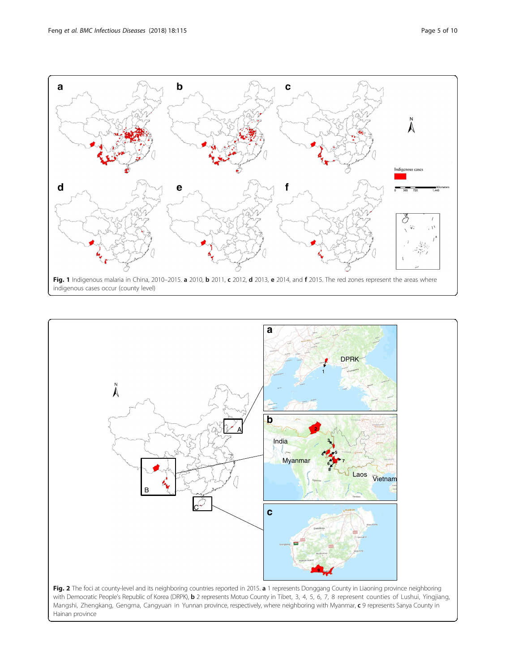<span id="page-4-0"></span>



with Democratic People's Republic of Korea (DRPK), b 2 represents Motuo County in Tibet, 3, 4, 5, 6, 7, 8 represent counties of Lushui, Yingjiang, Mangshi, Zhengkang, Gengma, Cangyuan in Yunnan province, respectively, where neighboring with Myanmar, c 9 represents Sanya County in Hainan province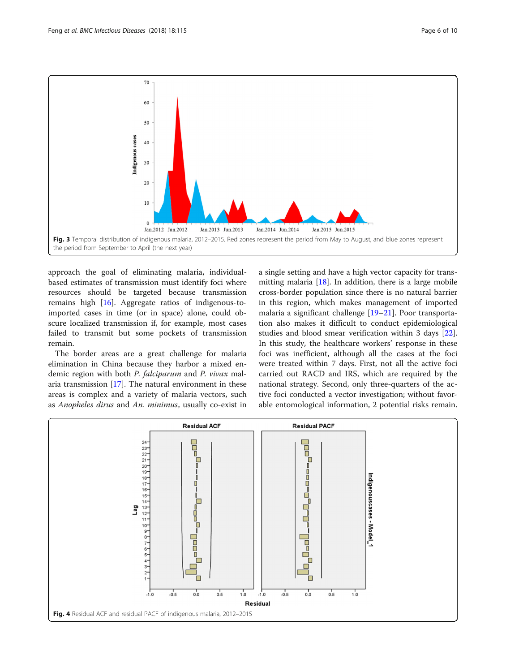<span id="page-5-0"></span>

approach the goal of eliminating malaria, individualbased estimates of transmission must identify foci where resources should be targeted because transmission remains high [\[16](#page-9-0)]. Aggregate ratios of indigenous-toimported cases in time (or in space) alone, could obscure localized transmission if, for example, most cases failed to transmit but some pockets of transmission remain.

The border areas are a great challenge for malaria elimination in China because they harbor a mixed endemic region with both P. falciparum and P. vivax malaria transmission [\[17\]](#page-9-0). The natural environment in these areas is complex and a variety of malaria vectors, such as Anopheles dirus and An. minimus, usually co-exist in a single setting and have a high vector capacity for transmitting malaria [[18\]](#page-9-0). In addition, there is a large mobile cross-border population since there is no natural barrier in this region, which makes management of imported malaria a significant challenge [[19](#page-9-0)–[21\]](#page-9-0). Poor transportation also makes it difficult to conduct epidemiological studies and blood smear verification within 3 days [\[22](#page-9-0)]. In this study, the healthcare workers' response in these foci was inefficient, although all the cases at the foci were treated within 7 days. First, not all the active foci carried out RACD and IRS, which are required by the national strategy. Second, only three-quarters of the active foci conducted a vector investigation; without favorable entomological information, 2 potential risks remain.

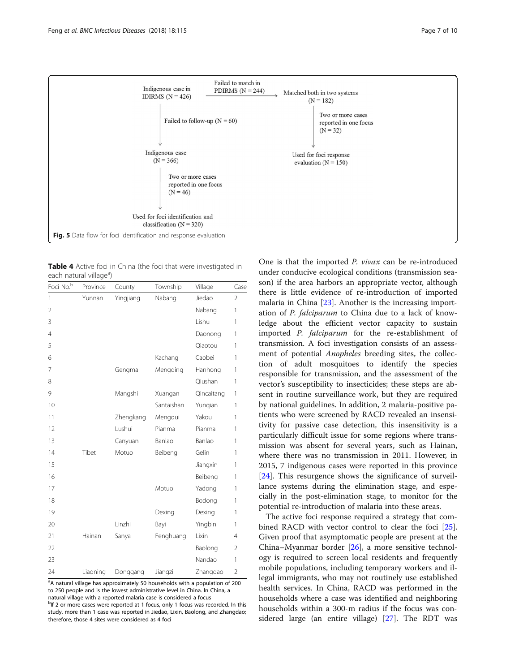<span id="page-6-0"></span>

Table 4 Active foci in China (the foci that were investigated in each natural village<sup>a</sup>)

| Foci No. <sup>b</sup> | Province | County    | Township   | Village      | Case           |
|-----------------------|----------|-----------|------------|--------------|----------------|
| $\mathbf{1}$          | Yunnan   | Yingjiang | Nabang     | Jiedao       | $\overline{2}$ |
| $\overline{2}$        |          |           |            | Nabang       | 1              |
| 3                     |          |           |            | Lishu        | 1              |
| $\overline{4}$        |          |           |            | Daonong      | 1              |
| 5                     |          |           |            | Oiaotou      | 1              |
| 6                     |          |           | Kachang    | Caobei       | 1              |
| 7                     |          | Gengma    | Mengding   | Hanhong      | 1              |
| 8                     |          |           |            | Qiushan      | 1              |
| 9                     |          | Mangshi   | Xuangan    | Qincaitang   | 1              |
| 10                    |          |           | Santaishan | Yungian      | 1              |
| 11                    |          | Zhengkang | Mengdui    | Yakou        | 1              |
| 12                    |          | Lushui    | Pianma     | Pianma       | 1              |
| 13                    |          | Canyuan   | Banlao     | Banlao       | 1              |
| 14                    | Tibet    | Motuo     | Beibeng    | Gelin        | 1              |
| 15                    |          |           |            | Jiangxin     | 1              |
| 16                    |          |           |            | Beibeng      | 1              |
| 17                    |          |           | Motuo      | Yadong       | 1              |
| 18                    |          |           |            | Bodong       | 1              |
| 19                    |          |           | Dexing     | Dexing       | 1              |
| 20                    |          | Linzhi    | Bayi       | Yingbin      | $\mathbf{1}$   |
| 21                    | Hainan   | Sanya     | Fenghuang  | <b>Lixin</b> | $\overline{4}$ |
| 22                    |          |           |            | Baolong      | $\overline{2}$ |
| 23                    |          |           |            | Nandao       | 1              |
| 24                    | Liaoning | Donggang  | Jiangzi    | Zhangdao     | $\overline{2}$ |

<sup>a</sup>A natural village has approximately 50 households with a population of 200 to 250 people and is the lowest administrative level in China. In China, a natural village with a reported malaria case is considered a focus <sup>b</sup>lf 2 or more cases were reported at 1 focus, only 1 focus was recorded. In this study, more than 1 case was reported in Jiedao, Lixin, Baolong, and Zhangdao; therefore, those 4 sites were considered as 4 foci

One is that the imported P. vivax can be re-introduced under conducive ecological conditions (transmission season) if the area harbors an appropriate vector, although there is little evidence of re-introduction of imported malaria in China [[23](#page-9-0)]. Another is the increasing importation of P. falciparum to China due to a lack of knowledge about the efficient vector capacity to sustain imported P. falciparum for the re-establishment of transmission. A foci investigation consists of an assessment of potential Anopheles breeding sites, the collection of adult mosquitoes to identify the species responsible for transmission, and the assessment of the vector's susceptibility to insecticides; these steps are absent in routine surveillance work, but they are required by national guidelines. In addition, 2 malaria-positive patients who were screened by RACD revealed an insensitivity for passive case detection, this insensitivity is a particularly difficult issue for some regions where transmission was absent for several years, such as Hainan, where there was no transmission in 2011. However, in 2015, 7 indigenous cases were reported in this province [[24\]](#page-9-0). This resurgence shows the significance of surveillance systems during the elimination stage, and especially in the post-elimination stage, to monitor for the potential re-introduction of malaria into these areas.

The active foci response required a strategy that combined RACD with vector control to clear the foci [\[25](#page-9-0)]. Given proof that asymptomatic people are present at the China–Myanmar border [[26\]](#page-9-0), a more sensitive technology is required to screen local residents and frequently mobile populations, including temporary workers and illegal immigrants, who may not routinely use established health services. In China, RACD was performed in the households where a case was identified and neighboring households within a 300-m radius if the focus was considered large (an entire village) [[27](#page-9-0)]. The RDT was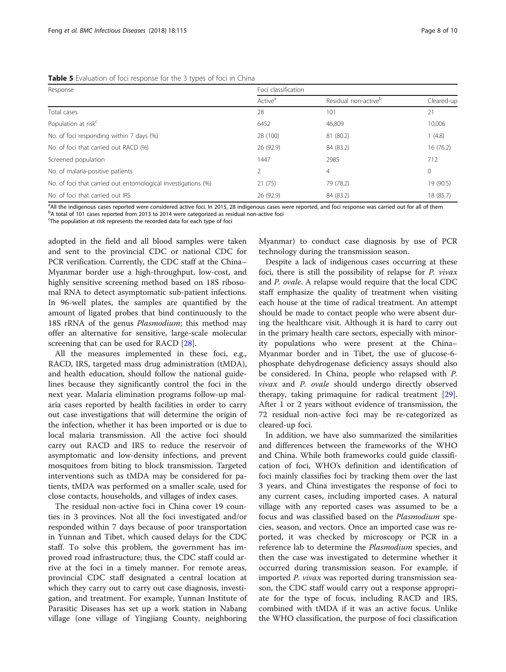<span id="page-7-0"></span>

|  | Table 5 Evaluation of foci response for the 3 types of foci in China |  |  |
|--|----------------------------------------------------------------------|--|--|
|  |                                                                      |  |  |

| Response                                                      | Foci classification |                                  |            |
|---------------------------------------------------------------|---------------------|----------------------------------|------------|
|                                                               | Active <sup>a</sup> | Residual non-active <sup>D</sup> | Cleared-up |
| Total cases                                                   | 28                  | 101                              | 21         |
| Population at risk <sup>c</sup>                               | 6452                | 46,809                           | 10,006     |
| No. of foci responding within 7 days (%)                      | 28 (100)            | 81 (80.2)                        | 1(4.8)     |
| No. of foci that carried out RACD (%)                         | 26 (92.9)           | 84 (83.2)                        | 16(76.2)   |
| Screened population                                           | 1447                | 2985                             | 712        |
| No. of malaria-positive patients                              |                     | 4                                | $\circ$    |
| No. of foci that carried out entomological investigations (%) | 21(75)              | 79 (78.2)                        | 19 (90.5)  |
| No. of foci that carried out IRS                              | 26 (92.9)           | 84 (83.2)                        | 18 (85.7)  |

<sup>a</sup>All the indigenous cases reported were considered active foci. In 2015, 28 indigenous cases were reported, and foci response was carried out for all of them

<sup>b</sup>A total of 101 cases reported from 2013 to 2014 were categorized as residual non-active foci

<sup>c</sup>The population at risk represents the recorded data for each type of foci

adopted in the field and all blood samples were taken and sent to the provincial CDC or national CDC for PCR verification. Currently, the CDC staff at the China– Myanmar border use a high-throughput, low-cost, and highly sensitive screening method based on 18S ribosomal RNA to detect asymptomatic sub-patient infections. In 96-well plates, the samples are quantified by the amount of ligated probes that bind continuously to the 18S rRNA of the genus *Plasmodium*; this method may offer an alternative for sensitive, large-scale molecular screening that can be used for RACD [\[28](#page-9-0)].

All the measures implemented in these foci, e.g., RACD, IRS, targeted mass drug administration (tMDA), and health education, should follow the national guidelines because they significantly control the foci in the next year. Malaria elimination programs follow-up malaria cases reported by health facilities in order to carry out case investigations that will determine the origin of the infection, whether it has been imported or is due to local malaria transmission. All the active foci should carry out RACD and IRS to reduce the reservoir of asymptomatic and low-density infections, and prevent mosquitoes from biting to block transmission. Targeted interventions such as tMDA may be considered for patients, tMDA was performed on a smaller scale, used for close contacts, households, and villages of index cases.

The residual non-active foci in China cover 19 counties in 3 provinces. Not all the foci investigated and/or responded within 7 days because of poor transportation in Yunnan and Tibet, which caused delays for the CDC staff. To solve this problem, the government has improved road infrastructure; thus, the CDC staff could arrive at the foci in a timely manner. For remote areas, provincial CDC staff designated a central location at which they carry out to carry out case diagnosis, investigation, and treatment. For example, Yunnan Institute of Parasitic Diseases has set up a work station in Nabang village (one village of Yingjiang County, neighboring

Myanmar) to conduct case diagnosis by use of PCR technology during the transmission season.

Despite a lack of indigenous cases occurring at these foci, there is still the possibility of relapse for P. vivax and P. ovale. A relapse would require that the local CDC staff emphasize the quality of treatment when visiting each house at the time of radical treatment. An attempt should be made to contact people who were absent during the healthcare visit. Although it is hard to carry out in the primary health care sectors, especially with minority populations who were present at the China– Myanmar border and in Tibet, the use of glucose-6 phosphate dehydrogenase deficiency assays should also be considered. In China, people who relapsed with P. vivax and P. ovale should undergo directly observed therapy, taking primaquine for radical treatment [\[29](#page-9-0)]. After 1 or 2 years without evidence of transmission, the 72 residual non-active foci may be re-categorized as cleared-up foci.

In addition, we have also summarized the similarities and differences between the frameworks of the WHO and China. While both frameworks could guide classification of foci, WHO's definition and identification of foci mainly classifies foci by tracking them over the last 3 years, and China investigates the response of foci to any current cases, including imported cases. A natural village with any reported cases was assumed to be a focus and was classified based on the Plasmodium species, season, and vectors. Once an imported case was reported, it was checked by microscopy or PCR in a reference lab to determine the Plasmodium species, and then the case was investigated to determine whether it occurred during transmission season. For example, if imported P. vivax was reported during transmission season, the CDC staff would carry out a response appropriate for the type of focus, including RACD and IRS, combined with tMDA if it was an active focus. Unlike the WHO classification, the purpose of foci classification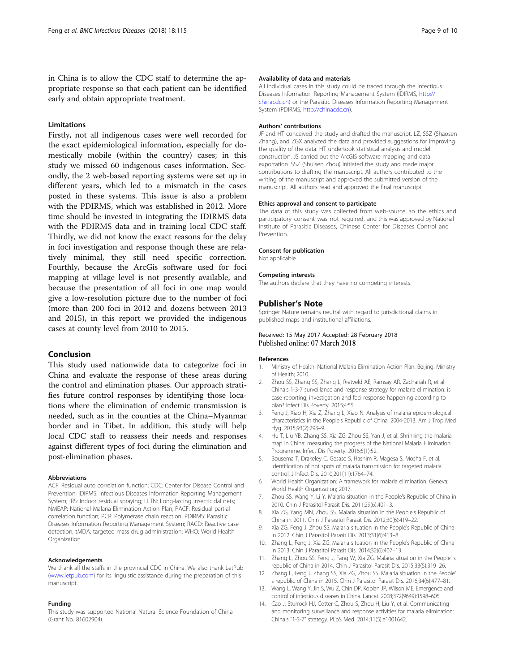<span id="page-8-0"></span>in China is to allow the CDC staff to determine the appropriate response so that each patient can be identified early and obtain appropriate treatment.

## Limitations

Firstly, not all indigenous cases were well recorded for the exact epidemiological information, especially for domestically mobile (within the country) cases; in this study we missed 60 indigenous cases information. Secondly, the 2 web-based reporting systems were set up in different years, which led to a mismatch in the cases posted in these systems. This issue is also a problem with the PDIRMS, which was established in 2012. More time should be invested in integrating the IDIRMS data with the PDIRMS data and in training local CDC staff. Thirdly, we did not know the exact reasons for the delay in foci investigation and response though these are relatively minimal, they still need specific correction. Fourthly, because the ArcGis software used for foci mapping at village level is not presently available, and because the presentation of all foci in one map would give a low-resolution picture due to the number of foci (more than 200 foci in 2012 and dozens between 2013 and 2015), in this report we provided the indigenous cases at county level from 2010 to 2015.

## Conclusion

This study used nationwide data to categorize foci in China and evaluate the response of these areas during the control and elimination phases. Our approach stratifies future control responses by identifying those locations where the elimination of endemic transmission is needed, such as in the counties at the China–Myanmar border and in Tibet. In addition, this study will help local CDC staff to reassess their needs and responses against different types of foci during the elimination and post-elimination phases.

#### Abbreviations

ACF: Residual auto correlation function; CDC: Center for Disease Control and Prevention; IDIRMS: Infectious Diseases Information Reporting Management System; IRS: Indoor residual spraying; LLTN: Long-lasting insecticidal nets; NMEAP: National Malaria Elimination Action Plan; PACF: Residual partial correlation function; PCR: Polymerase chain reaction; PDIRMS: Parasitic Diseases Information Reporting Management System; RACD: Reactive case detection; tMDA: targeted mass drug administration; WHO: World Health Organization

## Acknowledgements

We thank all the staffs in the provincial CDC in China. We also thank LetPub ([www.letpub.com](http://www.letpub.com)) for its linguistic assistance during the preparation of this manuscript.

#### Funding

This study was supported National Natural Science Foundation of China (Grant No. 81602904).

## Availability of data and materials

All individual cases in this study could be traced through the Infectious Diseases Information Reporting Management System (IDIRMS, [http://](http://chinacdc.cn) [chinacdc.cn](http://chinacdc.cn)) or the Parasitic Diseases Information Reporting Management System (PDIRMS, <http://chinacdc.cn>).

#### Authors' contributions

JF and HT conceived the study and drafted the manuscript. LZ, SSZ (Shaosen Zhang), and ZGX analyzed the data and provided suggestions for improving the quality of the data. HT undertook statistical analysis and model construction. JS carried out the ArcGIS software mapping and data exportation. SSZ (Shuisen Zhou) initiated the study and made major contributions to drafting the manuscript. All authors contributed to the writing of the manuscript and approved the submitted version of the manuscript. All authors read and approved the final manuscript.

#### Ethics approval and consent to participate

The data of this study was collected from web-source, so the ethics and participatory consent was not required, and this was approved by National Institute of Parasitic Diseases, Chinese Center for Diseases Control and Prevention.

#### Consent for publication

Not applicable.

#### Competing interests

The authors declare that they have no competing interests.

#### Publisher's Note

Springer Nature remains neutral with regard to jurisdictional claims in published maps and institutional affiliations.

## Received: 15 May 2017 Accepted: 28 February 2018 Published online: 07 March 2018

#### References

- 1. Ministry of Health: National Malaria Elimination Action Plan. Beijing: Ministry of Health; 2010.
- 2. Zhou SS, Zhang SS, Zhang L, Rietveld AE, Ramsay AR, Zachariah R, et al. China's 1-3-7 surveillance and response strategy for malaria elimination: is case reporting, investigation and foci response happening according to plan? Infect Dis Poverty. 2015;4:55.
- 3. Feng J, Xiao H, Xia Z, Zhang L, Xiao N. Analysis of malaria epidemiological characteristics in the People's Republic of China, 2004-2013. Am J Trop Med Hyg. 2015;93(2):293–9.
- 4. Hu T, Liu YB, Zhang SS, Xia ZG, Zhou SS, Yan J, et al. Shrinking the malaria map in China: measuring the progress of the National Malaria Elimination Programme. Infect Dis Poverty. 2016;5(1):52.
- 5. Bousema T, Drakeley C, Gesase S, Hashim R, Magesa S, Mosha F, et al. Identification of hot spots of malaria transmission for targeted malaria control. J Infect Dis. 2010;201(11):1764–74.
- 6. World Health Organization: A framework for malaria elimination. Geneva: World Health Organization; 2017.
- 7. Zhou SS, Wang Y, Li Y. Malaria situation in the People's Republic of China in 2010. Chin J Parasitol Parasit Dis. 2011;29(6):401–3.
- 8. Xia ZG, Yang MN, Zhou SS. Malaria situation in the People's Republic of China in 2011. Chin J Parasitol Parasit Dis. 2012;30(6):419–22.
- 9. Xia ZG, Feng J, Zhou SS. Malaria situation in the People's Republic of China in 2012. Chin J Parasitol Parasit Dis. 2013;31(6):413–8.
- 10. Zhang L, Feng J, Xia ZG. Malaria situation in the People's Republic of China in 2013. Chin J Parasitol Parasit Dis. 2014;32(6):407–13.
- 11. Zhang L, Zhou SS, Feng J, Fang W, Xia ZG. Malaria situation in the People' s republic of China in 2014. Chin J Parasitol Parasit Dis. 2015;33(5):319–26.
- 12. Zhang L, Feng J, Zhang SS, Xia ZG, Zhou SS. Malaria situation in the People' s republic of China in 2015. Chin J Parasitol Parasit Dis. 2016;34(6):477–81.
- 13. Wang L, Wang Y, Jin S, Wu Z, Chin DP, Koplan JP, Wilson ME. Emergence and control of infectious diseases in China. Lancet. 2008;372(9649):1598–605.
- 14. Cao J, Sturrock HJ, Cotter C, Zhou S, Zhou H, Liu Y, et al. Communicating and monitoring surveillance and response activities for malaria elimination: China's "1-3-7" strategy. PLoS Med. 2014;11(5):e1001642.